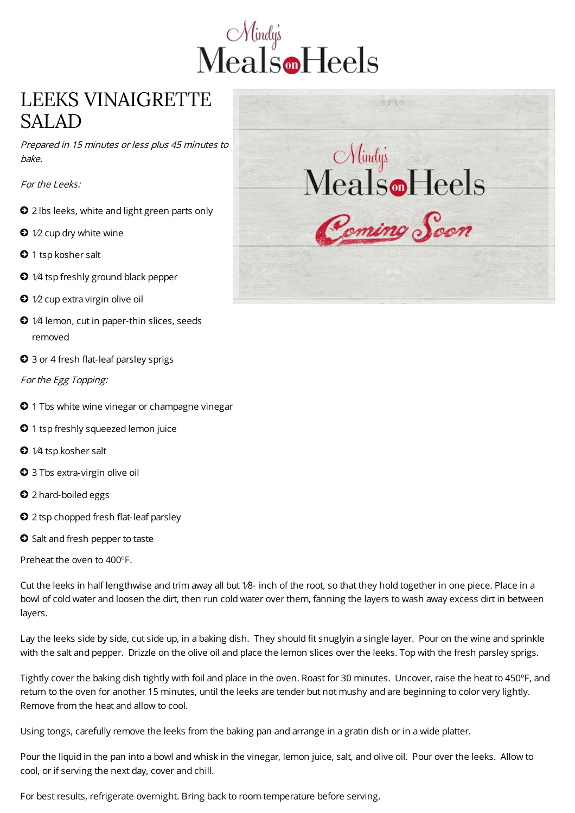

## LEEKS VINAIGRETTE SALAD

Prepared in 15 minutes or less plus 45 minutes to bake.

For the Leeks:

- 2 lbs leeks, white and light green parts only
- $\bigcirc$  1⁄2 cup dry white wine
- <sup>1</sup> tsp kosher salt
- $\bigcirc$  1⁄4 tsp freshly ground black pepper
- $\bullet$  1⁄2 cup extra virgin olive oil
- $\bullet$  1⁄4 lemon, cut in paper-thin slices, seeds removed
- $\bullet$  3 or 4 fresh flat-leaf parsley sprigs

For the Egg Topping:

- **0** 1 Tbs white wine vinegar or champagne vinegar
- <sup>1</sup> tsp freshly squeezed lemon juice
- $\bigcirc$  1/4 tsp kosher salt
- 3 Tbs extra-virgin olive oil
- $\bullet$  2 hard-boiled eggs
- <sup>2</sup> 2 tsp chopped fresh flat-leaf parsley
- Salt and fresh pepper to taste

Preheat the oven to 400ºF.

Cut the leeks in half lengthwise and trim away all but 1⁄8- inch of the root, so that they hold together in one piece. Place in a bowl of cold water and loosen the dirt, then run cold water over them, fanning the layers to wash away excess dirt in between layers.

Lay the leeks side by side, cut side up, in a baking dish. They should fit snuglyin a single layer. Pour on the wine and sprinkle with the salt and pepper. Drizzle on the olive oil and place the lemon slices over the leeks. Top with the fresh parsley sprigs.

Tightly cover the baking dish tightly with foil and place in the oven. Roast for 30 minutes. Uncover, raise the heat to 450ºF, and return to the oven for another 15 minutes, until the leeks are tender but not mushy and are beginning to color very lightly. Remove from the heat and allow to cool.

Using tongs, carefully remove the leeks from the baking pan and arrange in a gratin dish or in a wide platter.

Pour the liquid in the pan into a bowl and whisk in the vinegar, lemon juice, salt, and olive oil. Pour over the leeks. Allow to cool, or if serving the next day, cover and chill.

For best results, refrigerate overnight. Bring back to room temperature before serving.

779.33 Mindys<br>Meals Tleels Cemino Soon